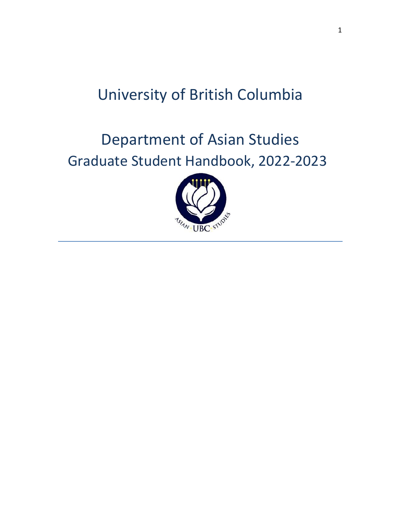# University of British Columbia

# Department of Asian Studies Graduate Student Handbook, 2022-2023

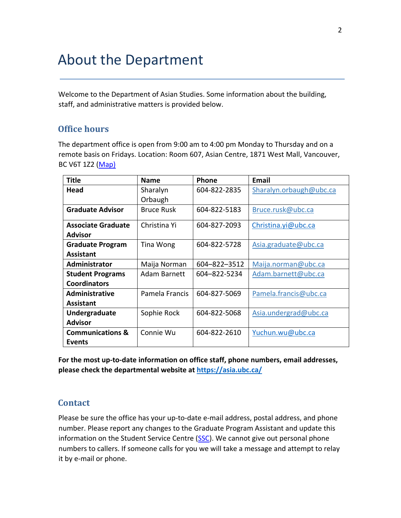# About the Department

Welcome to the Department of Asian Studies. Some information about the building, staff, and administrative matters is provided below.

# **Office hours**

The department office is open from 9:00 am to 4:00 pm Monday to Thursday and on a remote basis on Fridays. Location: Room 607, Asian Centre, 1871 West Mall, Vancouver, BC V6T 1Z2 [\(Map\)](http://www.maps.ubc.ca/PROD/index_detail.php?show=y,n,n,n,n,y&bldg2Search=n&locat1=046)

| <b>Title</b>                | <b>Name</b>       | Phone        | Email                   |
|-----------------------------|-------------------|--------------|-------------------------|
| Head                        | Sharalyn          | 604-822-2835 | Sharalyn.orbaugh@ubc.ca |
|                             | Orbaugh           |              |                         |
| <b>Graduate Advisor</b>     | <b>Bruce Rusk</b> | 604-822-5183 | Bruce.rusk@ubc.ca       |
| <b>Associate Graduate</b>   | Christina Yi      | 604-827-2093 | Christina.yi@ubc.ca     |
| <b>Advisor</b>              |                   |              |                         |
| <b>Graduate Program</b>     | Tina Wong         | 604-822-5728 | Asia.graduate@ubc.ca    |
| <b>Assistant</b>            |                   |              |                         |
| Administrator               | Maija Norman      | 604-822-3512 | Maija.norman@ubc.ca     |
| <b>Student Programs</b>     | Adam Barnett      | 604-822-5234 | Adam.barnett@ubc.ca     |
| <b>Coordinators</b>         |                   |              |                         |
| <b>Administrative</b>       | Pamela Francis    | 604-827-5069 | Pamela.francis@ubc.ca   |
| <b>Assistant</b>            |                   |              |                         |
| Undergraduate               | Sophie Rock       | 604-822-5068 | Asia.undergrad@ubc.ca   |
| <b>Advisor</b>              |                   |              |                         |
| <b>Communications &amp;</b> | Connie Wu         | 604-822-2610 | Yuchun.wu@ubc.ca        |
| <b>Events</b>               |                   |              |                         |

**For the most up-to-date information on office staff, phone numbers, email addresses, please check the departmental website at<https://asia.ubc.ca/>**

## **Contact**

Please be sure the office has your up-to-date e-mail address, postal address, and phone number. Please report any changes to the Graduate Program Assistant and update this information on the Student Service Centre [\(SSC\).](https://ssc.adm.ubc.ca/sscportal/servlets/SRVSSCFramework) We cannot give out personal phone numbers to callers. If someone calls for you we will take a message and attempt to relay it by e-mail or phone.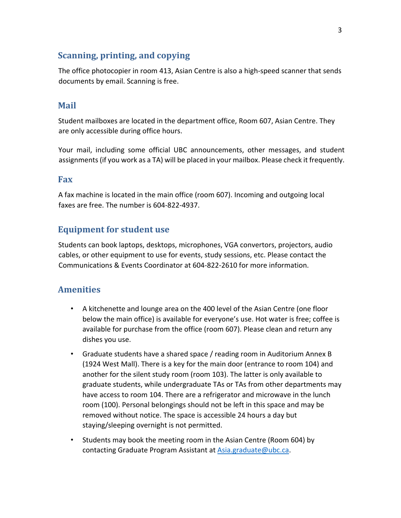# **Scanning, printing, and copying**

The office photocopier in room 413, Asian Centre is also a high-speed scanner that sends documents by email. Scanning is free.

# **Mail**

Student mailboxes are located in the department office, Room 607, Asian Centre. They are only accessible during office hours.

Your mail, including some official UBC announcements, other messages, and student assignments (if you work as a TA) will be placed in your mailbox. Please check it frequently.

## **Fax**

A fax machine is located in the main office (room 607). Incoming and outgoing local faxes are free. The number is 604-822-4937.

# **Equipment for student use**

Students can book laptops, desktops, microphones, VGA convertors, projectors, audio cables, or other equipment to use for events, study sessions, etc. Please contact the Communications & Events Coordinator at 604-822-2610 for more information.

# **Amenities**

- A kitchenette and lounge area on the 400 level of the Asian Centre (one floor below the main office) is available for everyone's use. Hot water is free; coffee is available for purchase from the office (room 607). Please clean and return any dishes you use.
- Graduate students have a shared space / reading room in Auditorium Annex B (1924 West Mall). There is a key for the main door (entrance to room 104) and another for the silent study room (room 103). The latter is only available to graduate students, while undergraduate TAs or TAs from other departments may have access to room 104. There are a refrigerator and microwave in the lunch room (100). Personal belongings should not be left in this space and may be removed without notice. The space is accessible 24 hours a day but staying/sleeping overnight is not permitted.
- Students may book the meeting room in the Asian Centre (Room 604) by contacting Graduate Program Assistant at [Asia.graduate@ubc.ca.](mailto:Asia.graduate@ubc.ca)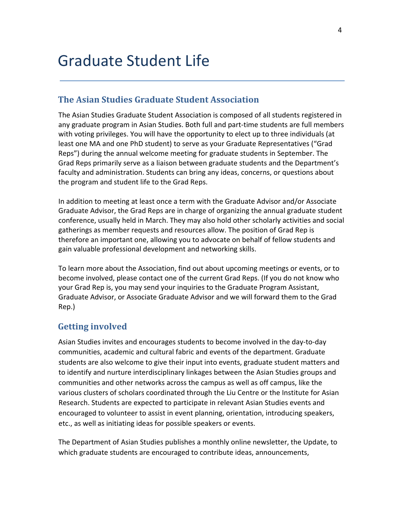# Graduate Student Life

## **The Asian Studies Graduate Student Association**

The Asian Studies Graduate Student Association is composed of all students registered in any graduate program in Asian Studies. Both full and part-time students are full members with voting privileges. You will have the opportunity to elect up to three individuals (at least one MA and one PhD student) to serve as your Graduate Representatives ("Grad Reps") during the annual welcome meeting for graduate students in September. The Grad Reps primarily serve as a liaison between graduate students and the Department's faculty and administration. Students can bring any ideas, concerns, or questions about the program and student life to the Grad Reps.

In addition to meeting at least once a term with the Graduate Advisor and/or Associate Graduate Advisor, the Grad Reps are in charge of organizing the annual graduate student conference, usually held in March. They may also hold other scholarly activities and social gatherings as member requests and resources allow. The position of Grad Rep is therefore an important one, allowing you to advocate on behalf of fellow students and gain valuable professional development and networking skills.

To learn more about the Association, find out about upcoming meetings or events, or to become involved, please contact one of the current Grad Reps. (If you do not know who your Grad Rep is, you may send your inquiries to the Graduate Program Assistant, Graduate Advisor, or Associate Graduate Advisor and we will forward them to the Grad Rep.)

# **Getting involved**

Asian Studies invites and encourages students to become involved in the day-to-day communities, academic and cultural fabric and events of the department. Graduate students are also welcome to give their input into events, graduate student matters and to identify and nurture interdisciplinary linkages between the Asian Studies groups and communities and other networks across the campus as well as off campus, like the various clusters of scholars coordinated through the Liu Centre or the Institute for Asian Research. Students are expected to participate in relevant Asian Studies events and encouraged to volunteer to assist in event planning, orientation, introducing speakers, etc., as well as initiating ideas for possible speakers or events.

The Department of Asian Studies publishes a monthly online newsletter, the Update, to which graduate students are encouraged to contribute ideas, announcements,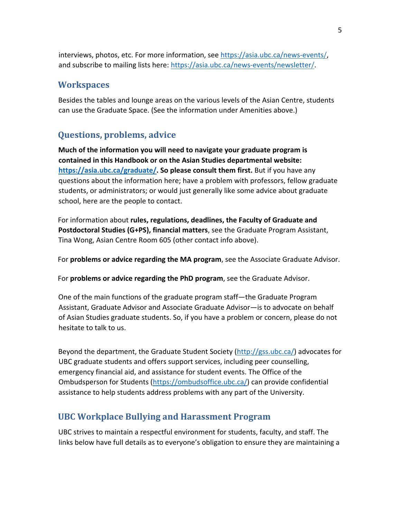interviews, photos, etc. For more information, see<https://asia.ubc.ca/news-events/>[,](http://asia.ubc.ca/news-events/news/) and subscribe to mailing lists here:<https://asia.ubc.ca/news-events/newsletter/>[.](http://asia.ubc.ca/news-events/newsletters)

# **Workspaces**

Besides the tables and lounge areas on the various levels of the Asian Centre, students can use the Graduate Space. (See the information under Amenities above.)

# **Questions, problems, advice**

**Much of the information you will need to navigate your graduate program is contained in this Handbook or on the Asian Studies departmental website: <https://asia.ubc.ca/graduate/>[.](http://www.asia.ubc.ca/) So please consult them first.** But if you have any questions about the information here; have a problem with professors, fellow graduate students, or administrators; or would just generally like some advice about graduate school, here are the people to contact.

For information about **rules, regulations, deadlines, the Faculty of Graduate and Postdoctoral Studies (G+PS), financial matters**, see the Graduate Program Assistant, Tina Wong, Asian Centre Room 605 (other contact info above).

For **problems or advice regarding the MA program**, see the Associate Graduate Advisor.

For **problems or advice regarding the PhD program**, see the Graduate Advisor.

One of the main functions of the graduate program staff—the Graduate Program Assistant, Graduate Advisor and Associate Graduate Advisor—is to advocate on behalf of Asian Studies graduate students. So, if you have a problem or concern, please do not hesitate to talk to us.

Beyond the department, the Graduate Student Society [\(http://gss.ubc.ca/\)](http://gss.ubc.ca/) advocates for UBC graduate students and offers support services, including peer counselling, emergency financial aid, and assistance for student events. The Office of the Ombudsperson for Students [\(https://ombudsoffice.ubc.ca/\)](https://ombudsoffice.ubc.ca/) can provide confidential assistance to help students address problems with any part of the University.

# **UBC Workplace Bullying and Harassment Program**

UBC strives to maintain a respectful environment for students, faculty, and staff. The links below have full details as to everyone's obligation to ensure they are maintaining a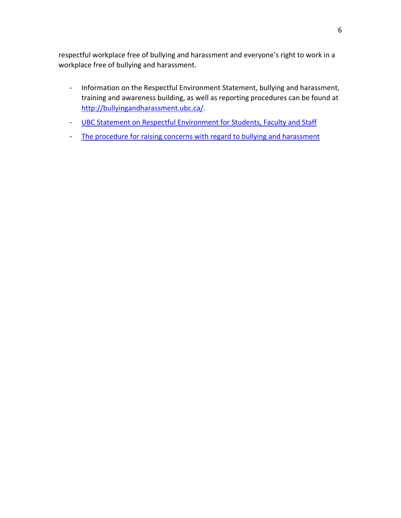respectful workplace free of bullying and harassment and everyone's right to work in a workplace free of bullying and harassment.

- Information on the Respectful Environment Statement, bullying and harassment, training and awareness building, as well as reporting procedures can be found at [http://bullyingandharassment.ubc.ca/.](http://bullyingandharassment.ubc.ca/)
- [UBC Statement on Respectful Environment for Students, Faculty and Staff](http://www.hr.ubc.ca/respectful-environment/files/UBC-Statement-on-Respectful-Environment-2014.pdf)
- [The procedure for raising concerns with regard to bullying and harassment](http://bullyingandharassment.ubc.ca/)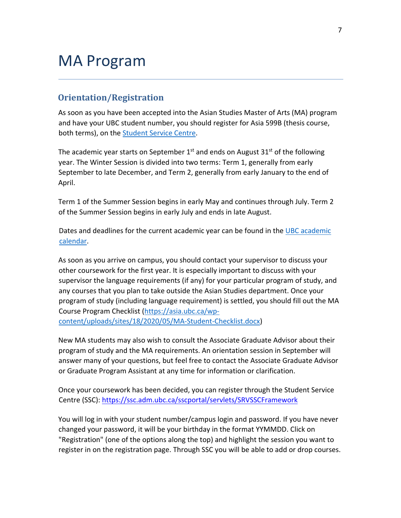# MA Program

## **Orientation/Registration**

As soon as you have been accepted into the Asian Studies Master of Arts (MA) program and have your UBC student number, you should register for Asia 599B (thesis course, both terms), on the [Student Service Centre.](https://ssc.adm.ubc.ca/sscportal/servlets/SRVSSCFramework)

The academic year starts on September  $1^{st}$  and ends on August  $31^{st}$  of the following year. The Winter Session is divided into two terms: Term 1, generally from early September to late December, and Term 2, generally from early January to the end of April.

Term 1 of the Summer Session begins in early May and continues through July. Term 2 of the Summer Session begins in early July and ends in late August.

Dates and deadlines for the current academic year can be found in the [UBC academic](http://www.calendar.ubc.ca/vancouver/index.cfm?page=deadlines)  [calendar.](http://www.calendar.ubc.ca/vancouver/index.cfm?page=deadlines)

As soon as you arrive on campus, you should contact your supervisor to discuss your other coursework for the first year. It is especially important to discuss with your supervisor the language requirements (if any) for your particular program of study, and any courses that you plan to take outside the Asian Studies department. Once your program of study (including language requirement) is settled, you should fill out the MA Course Program Checklist [\(https://asia.ubc.ca/wp](https://asia.ubc.ca/wp-content/uploads/sites/18/2020/05/MA-Student-Checklist.docx)[content/uploads/sites/18/2020/05/MA-Student-Checklist.docx\)](https://asia.ubc.ca/wp-content/uploads/sites/18/2020/05/MA-Student-Checklist.docx)

New MA students may also wish to consult the Associate Graduate Advisor about their program of study and the MA requirements. An orientation session in September will answer many of your questions, but feel free to contact the Associate Graduate Advisor or Graduate Program Assistant at any time for information or clarification.

Once your coursework has been decided, you can register through the Student Service Centre (SSC):<https://ssc.adm.ubc.ca/sscportal/servlets/SRVSSCFramework>

You will log in with your student number/campus login and password. If you have never changed your password, it will be your birthday in the format YYMMDD. Click on "Registration" (one of the options along the top) and highlight the session you want to register in on the registration page. Through SSC you will be able to add or drop courses.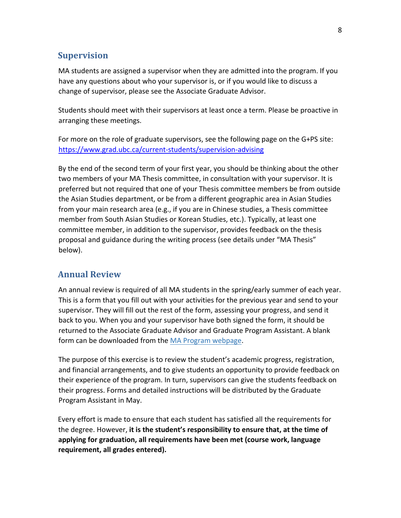## **Supervision**

MA students are assigned a supervisor when they are admitted into the program. If you have any questions about who your supervisor is, or if you would like to discuss a change of supervisor, please see the Associate Graduate Advisor.

Students should meet with their supervisors at least once a term. Please be proactive in arranging these meetings.

For more on the role of graduate supervisors, see the following page on the G+PS site: <https://www.grad.ubc.ca/current-students/supervision-advising>

By the end of the second term of your first year, you should be thinking about the other two members of your MA Thesis committee, in consultation with your supervisor. It is preferred but not required that one of your Thesis committee members be from outside the Asian Studies department, or be from a different geographic area in Asian Studies from your main research area (e.g., if you are in Chinese studies, a Thesis committee member from South Asian Studies or Korean Studies, etc.). Typically, at least one committee member, in addition to the supervisor, provides feedback on the thesis proposal and guidance during the writing process (see details under "MA Thesis" below).

# **Annual Review**

An annual review is required of all MA students in the spring/early summer of each year. This is a form that you fill out with your activities for the previous year and send to your supervisor. They will fill out the rest of the form, assessing your progress, and send it back to you. When you and your supervisor have both signed the form, it should be returned to the Associate Graduate Advisor and Graduate Program Assistant. A blank form can be downloaded from the [MA Program webpage.](https://www.grad.ubc.ca/prospective-students/graduate-degree-programs/master-of-arts-asian-studies)

The purpose of this exercise is to review the student's academic progress, registration, and financial arrangements, and to give students an opportunity to provide feedback on their experience of the program. In turn, supervisors can give the students feedback on their progress. Forms and detailed instructions will be distributed by the Graduate Program Assistant in May.

Every effort is made to ensure that each student has satisfied all the requirements for the degree. However, **it is the student's responsibility to ensure that, at the time of applying for graduation, all requirements have been met (course work, language requirement, all grades entered).**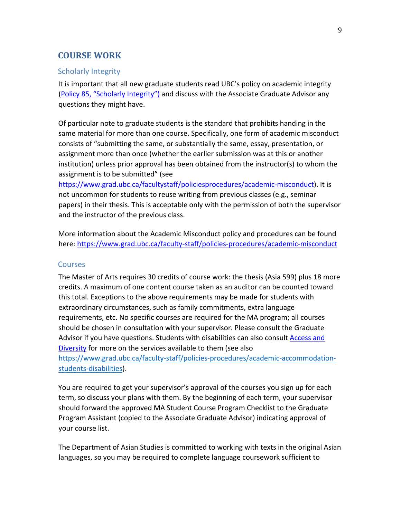## **COURSE WORK**

#### Scholarly Integrity

It is important that all new graduate students read UBC's policy on academic integrity [\(](http://www.universitycounsel.ubc.ca/files/2015/08/policy85.pdf)[Policy 85, "Scholarly Integrity"](https://edst-educ.sites.olt.ubc.ca/files/2013/05/EDST-Policy-85-Info-and-Scholarly-Integrity.pdf)[\)](http://www.universitycounsel.ubc.ca/files/2015/08/policy85.pdf) [an](http://www.universitycounsel.ubc.ca/files/2015/08/policy85.pdf)d discuss with the Associate Graduate Advisor any questions they might have.

Of particular note to graduate students is the standard that prohibits handing in the same material for more than one course. Specifically, one form of academic misconduct consists of "submitting the same, or substantially the same, essay, presentation, or assignment more than once (whether the earlier submission was at this or another institution) unless prior approval has been obtained from the instructor(s) to whom the assignment is to be submitted" (see

[https://www.grad.ubc.ca/facultystaff/policiesprocedures/academic-misconduct\).](https://www.grad.ubc.ca/faculty-staff/policies-procedures/academic-misconduct) It is not uncommon for students to reuse writing from previous classes (e.g., seminar papers) in their thesis. This is acceptable only with the permission of both the supervisor and the instructor of the previous class.

More information about the Academic Misconduct policy and procedures can be found here:<https://www.grad.ubc.ca/faculty-staff/policies-procedures/academic-misconduct>

#### Courses

The Master of Arts requires 30 credits of course work: the thesis (Asia 599) plus 18 more credits. A maximum of one content course taken as an auditor can be counted toward this total. Exceptions to the above requirements may be made for students with extraordinary circumstances, such as family commitments, extra language requirements, etc. No specific courses are required for the MA program; all courses should be chosen in consultation with your supervisor. Please consult the Graduate Advisor if you have questions. Students with disabilities can also consult Access and [Diversity](https://students.ubc.ca/about-student-services/access-diversity) [fo](https://students.ubc.ca/about-student-services/access-diversity)r more on the services available to them (see also [https://www.grad.ubc.ca/faculty-staff/policies-procedures/academic-accommodation](https://www.grad.ubc.ca/faculty-staff/policies-procedures/academic-accommodation-students-disabilities)[students-disabilities](https://www.grad.ubc.ca/faculty-staff/policies-procedures/academic-accommodation-students-disabilities)[\).](https://www.grad.ubc.ca/current-students/managing-your-program/academic-accommodation-students-disabilities)

You are required to get your supervisor's approval of the courses you sign up for each term, so discuss your plans with them. By the beginning of each term, your supervisor should forward the approved MA Student Course Program Checklist to the Graduate Program Assistant (copied to the Associate Graduate Advisor) indicating approval of your course list.

The Department of Asian Studies is committed to working with texts in the original Asian languages, so you may be required to complete language coursework sufficient to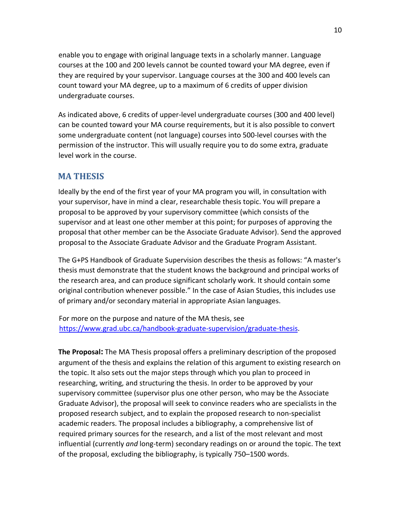enable you to engage with original language texts in a scholarly manner. Language courses at the 100 and 200 levels cannot be counted toward your MA degree, even if they are required by your supervisor. Language courses at the 300 and 400 levels can count toward your MA degree, up to a maximum of 6 credits of upper division undergraduate courses.

As indicated above, 6 credits of upper-level undergraduate courses (300 and 400 level) can be counted toward your MA course requirements, but it is also possible to convert some undergraduate content (not language) courses into 500-level courses with the permission of the instructor. This will usually require you to do some extra, graduate level work in the course.

## **MA THESIS**

Ideally by the end of the first year of your MA program you will, in consultation with your supervisor, have in mind a clear, researchable thesis topic. You will prepare a proposal to be approved by your supervisory committee (which consists of the supervisor and at least one other member at this point; for purposes of approving the proposal that other member can be the Associate Graduate Advisor). Send the approved proposal to the Associate Graduate Advisor and the Graduate Program Assistant.

The G+PS Handbook of Graduate Supervision describes the thesis as follows: "A master's thesis must demonstrate that the student knows the background and principal works of the research area, and can produce significant scholarly work. It should contain some original contribution whenever possible." In the case of Asian Studies, this includes use of primary and/or secondary material in appropriate Asian languages.

For more on the purpose and nature of the MA thesis, see [https://www.grad.ubc.ca/handbook-graduate-supervision/graduate-thesis.](https://www.grad.ubc.ca/handbook-graduate-supervision/graduate-thesis)

**The Proposal:** The MA Thesis proposal offers a preliminary description of the proposed argument of the thesis and explains the relation of this argument to existing research on the topic. It also sets out the major steps through which you plan to proceed in researching, writing, and structuring the thesis. In order to be approved by your supervisory committee (supervisor plus one other person, who may be the Associate Graduate Advisor), the proposal will seek to convince readers who are specialists in the proposed research subject, and to explain the proposed research to non-specialist academic readers. The proposal includes a bibliography, a comprehensive list of required primary sources for the research, and a list of the most relevant and most influential (currently *and* long-term) secondary readings on or around the topic. The text of the proposal, excluding the bibliography, is typically 750–1500 words.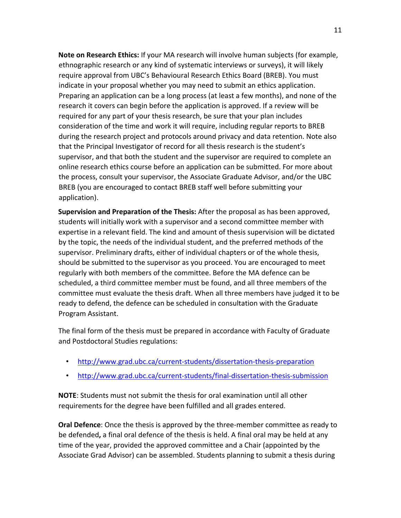**Note on Research Ethics:** If your MA research will involve human subjects (for example, ethnographic research or any kind of systematic interviews or surveys), it will likely require approval from UBC's Behavioural Research Ethics Board (BREB). You must indicate in your proposal whether you may need to submit an ethics application. Preparing an application can be a long process (at least a few months), and none of the research it covers can begin before the application is approved. If a review will be required for any part of your thesis research, be sure that your plan includes consideration of the time and work it will require, including regular reports to BREB during the research project and protocols around privacy and data retention. Note also that the Principal Investigator of record for all thesis research is the student's supervisor, and that both the student and the supervisor are required to complete an [online research ethics course](https://ethics.research.ubc.ca/education-training/online-tutorials-training) before an application can be submitted. For more about the process, consult your supervisor, the Associate Graduate Advisor, and/or the UBC [BREB](https://ethics.research.ubc.ca/behavioural-research-ethics) (you are encouraged to contact BREB staff well before submitting your application).

**Supervision and Preparation of the Thesis:** After the proposal as has been approved, students will initially work with a supervisor and a second committee member with expertise in a relevant field. The kind and amount of thesis supervision will be dictated by the topic, the needs of the individual student, and the preferred methods of the supervisor. Preliminary drafts, either of individual chapters or of the whole thesis, should be submitted to the supervisor as you proceed. You are encouraged to meet regularly with both members of the committee. Before the MA defence can be scheduled, a third committee member must be found, and all three members of the committee must evaluate the thesis draft. When all three members have judged it to be ready to defend, the defence can be scheduled in consultation with the Graduate Program Assistant.

The final form of the thesis must be prepared in accordance with Faculty of Graduate and Postdoctoral Studies regulations:

- <http://www.grad.ubc.ca/current-students/dissertation-thesis-preparation>
- <http://www.grad.ubc.ca/current-students/final-dissertation-thesis-submission>

**NOTE**: Students must not submit the thesis for oral examination until all other requirements for the degree have been fulfilled and all grades entered.

**Oral Defence**: Once the thesis is approved by the three-member committee as ready to be defended**,** a final oral defence of the thesis is held. A final oral may be held at any time of the year, provided the approved committee and a Chair (appointed by the Associate Grad Advisor) can be assembled. Students planning to submit a thesis during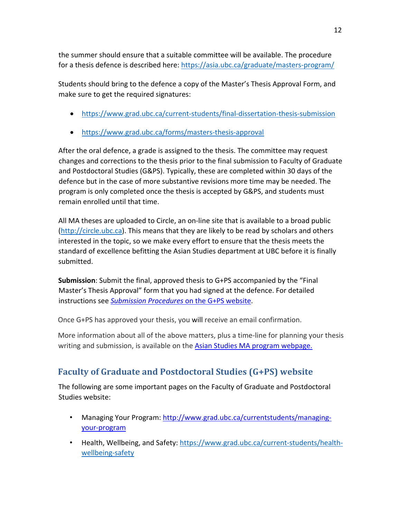the summer should ensure that a suitable committee will be available. The procedure for a thesis defence is described here[: https://asia.ubc.ca/graduate/masters-program/](https://asia.ubc.ca/graduate/masters-program/)

Students should bring to the defence a copy of the Master's Thesis Approval Form, and make sure to get the required signatures:

- <https://www.grad.ubc.ca/current-students/final-dissertation-thesis-submission>
- <https://www.grad.ubc.ca/forms/masters-thesis-approval>

After the oral defence, a grade is assigned to the thesis. The committee may request changes and corrections to the thesis prior to the final submission to Faculty of Graduate and Postdoctoral Studies (G&PS). Typically, these are completed within 30 days of the defence but in the case of more substantive revisions more time may be needed. The program is only completed once the thesis is accepted by G&PS, and students must remain enrolled until that time.

All MA theses are uploaded to Circle, an on-line site that is available to a broad public [\(http://circle.ubc.ca\)](http://circle.ubc.ca/). This means that they are likely to be read by scholars and others interested in the topic, so we make every effort to ensure that the thesis meets the standard of excellence befitting the Asian Studies department at UBC before it is finally submitted.

**Submission**: Submit the final, approved thesis to G+PS accompanied by the "Final Master's Thesis Approval" form that you had signed at the defence. For detailed instructions see *[Submission Procedures](http://www.grad.ubc.ca/current-students/final-dissertation-thesis-submission)* [on the G+PS website.](http://www.grad.ubc.ca/current-students/final-dissertation-thesis-submission)

Once G+PS has approved your thesis, you will receive an email confirmation.

More information about all of the above matters, plus a time-line for planning your thesis writing and submission, is available on the [Asian Studies MA program webpage](https://asia.ubc.ca/graduate/masters-program/)[.](http://asia.ubc.ca/graduate/master-of-arts-in-asian-studies/)

# **Faculty of Graduate and Postdoctoral Studies (G+PS) website**

The following are some important pages on the Faculty of Graduate and Postdoctoral Studies website:

- Managing Your Program: [http://www.grad.ubc.ca/currentstudents/managing](http://www.grad.ubc.ca/current-students/managing-your-program)[your-program](http://www.grad.ubc.ca/current-students/managing-your-program)
- Health, Wellbeing, and Safety: [https://www.grad.ubc.ca/current-students/health](https://www.grad.ubc.ca/current-students/health-wellbeing-safety)[wellbeing-safety](https://www.grad.ubc.ca/current-students/health-wellbeing-safety)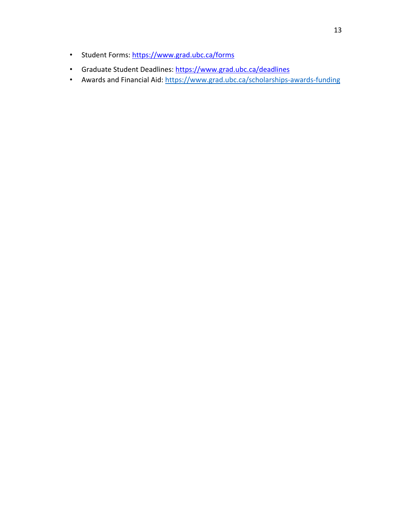- Student Forms:<https://www.grad.ubc.ca/forms>
- Graduate Student Deadlines[:](https://www.grad.ubc.ca/deadlines) <https://www.grad.ubc.ca/deadlines>
- Awards and Financial Aid:<https://www.grad.ubc.ca/scholarships-awards-funding>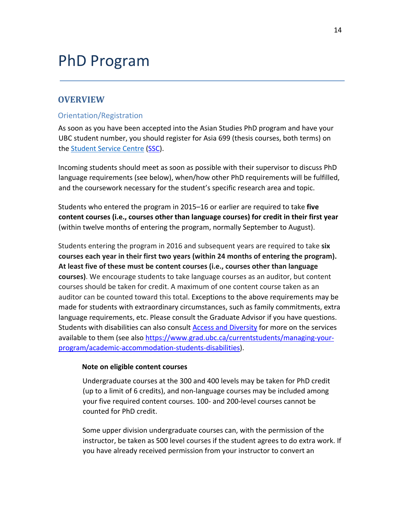# PhD Program

## **OVERVIEW**

#### Orientation/Registration

As soon as you have been accepted into the Asian Studies PhD program and have your UBC student number, you should register for Asia 699 (thesis courses, both terms) on the [Student Service Centre](https://ssc.adm.ubc.ca/sscportal/servlets/SRVSSCFramework) (S[SC\).](https://ssc.adm.ubc.ca/sscportal/servlets/SRVSSCFramework)

Incoming students should meet as soon as possible with their supervisor to discuss PhD language requirements (see below), when/how other PhD requirements will be fulfilled, and the coursework necessary for the student's specific research area and topic.

Students who entered the program in 2015–16 or earlier are required to take **five content courses (i.e., courses other than language courses) for credit in their first year** (within twelve months of entering the program, normally September to August).

Students entering the program in 2016 and subsequent years are required to take **six courses each year in their first two years (within 24 months of entering the program). At least five of these must be content courses (i.e., courses other than language courses)**. We encourage students to take language courses as an auditor, but content courses should be taken for credit. A maximum of one content course taken as an auditor can be counted toward this total. Exceptions to the above requirements may be made for students with extraordinary circumstances, such as family commitments, extra language requirements, etc. Please consult the Graduate Advisor if you have questions. Students with disabilities can also consult [Access and Diversity](https://students.ubc.ca/about-student-services/access-diversity) [fo](https://students.ubc.ca/about-student-services/access-diversity)r more on the services available to them (see also [https://www.grad.ubc.ca/currentstudents/managing-your](https://www.grad.ubc.ca/current-students/managing-your-program/academic-accommodation-students-disabilities)[program/academic-accommodation-students-disabilities\).](https://www.grad.ubc.ca/current-students/managing-your-program/academic-accommodation-students-disabilities)

#### **Note on eligible content courses**

Undergraduate courses at the 300 and 400 levels may be taken for PhD credit (up to a limit of 6 credits), and non-language courses may be included among your five required content courses. 100- and 200-level courses cannot be counted for PhD credit.

Some upper division undergraduate courses can, with the permission of the instructor, be taken as 500 level courses if the student agrees to do extra work. If you have already received permission from your instructor to convert an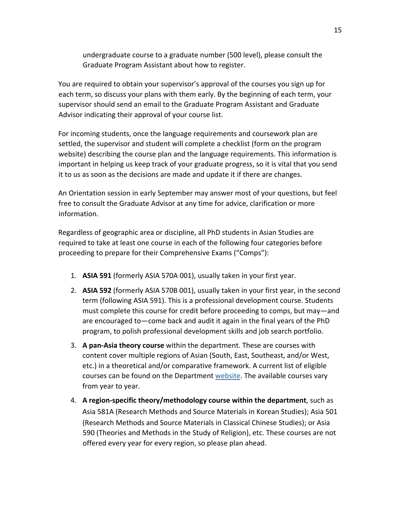undergraduate course to a graduate number (500 level), please consult the Graduate Program Assistant about how to register.

You are required to obtain your supervisor's approval of the courses you sign up for each term, so discuss your plans with them early. By the beginning of each term, your supervisor should send an email to the Graduate Program Assistant and Graduate Advisor indicating their approval of your course list.

For incoming students, once the language requirements and coursework plan are settled, the supervisor and student will complete a checklist (form on the program website) describing the course plan and the language requirements. This information is important in helping us keep track of your graduate progress, so it is vital that you send it to us as soon as the decisions are made and update it if there are changes.

An Orientation session in early September may answer most of your questions, but feel free to consult the Graduate Advisor at any time for advice, clarification or more information.

Regardless of geographic area or discipline, all PhD students in Asian Studies are required to take at least one course in each of the following four categories before proceeding to prepare for their Comprehensive Exams ("Comps"):

- 1. **ASIA 591** (formerly ASIA 570A 001), usually taken in your first year.
- 2. **ASIA 592** (formerly ASIA 570B 001), usually taken in your first year, in the second term (following ASIA 591). This is a professional development course. Students must complete this course for credit before proceeding to comps, but may—and are encouraged to—come back and audit it again in the final years of the PhD program, to polish professional development skills and job search portfolio.
- 3. **A pan-Asia theory course** within the department. These are courses with content cover multiple regions of Asian (South, East, Southeast, and/or West, etc.) in a theoretical and/or comparative framework. A current list of eligible courses can be found on the Department [website](https://asia.ubc.ca/graduate/grad-courses/#Theories)[.](http://asia.ubc.ca/graduate/graduate-courses/) The available courses vary from year to year.
- 4. **A region-specific theory/methodology course within the department**, such as Asia 581A (Research Methods and Source Materials in Korean Studies); Asia 501 (Research Methods and Source Materials in Classical Chinese Studies); or Asia 590 (Theories and Methods in the Study of Religion), etc. These courses are not offered every year for every region, so please plan ahead.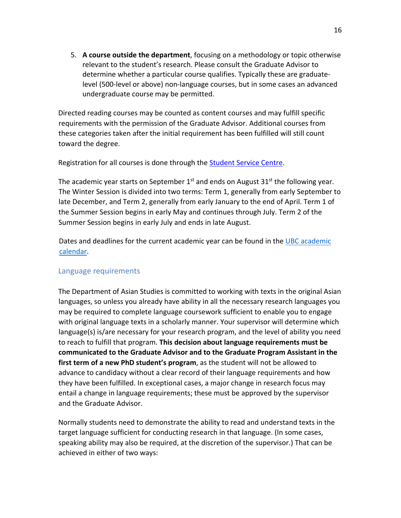5. **A course outside the department**, focusing on a methodology or topic otherwise relevant to the student's research. Please consult the Graduate Advisor to determine whether a particular course qualifies. Typically these are graduatelevel (500-level or above) non-language courses, but in some cases an advanced undergraduate course may be permitted.

Directed reading courses may be counted as content courses and may fulfill specific requirements with the permission of the Graduate Advisor. Additional courses from these categories taken after the initial requirement has been fulfilled will still count toward the degree.

Registration for all courses is done through the [Student Service Centre.](https://ssc.adm.ubc.ca/sscportal/servlets/SRVSSCFramework)

The academic year starts on September  $1<sup>st</sup>$  and ends on August 31 $<sup>st</sup>$  the following year.</sup> The Winter Session is divided into two terms: Term 1, generally from early September to late December, and Term 2, generally from early January to the end of April. Term 1 of the Summer Session begins in early May and continues through July. Term 2 of the Summer Session begins in early July and ends in late August.

Dates and deadlines for the current academic year can be found in the [UBC academic](http://www.calendar.ubc.ca/vancouver/index.cfm?page=deadlines)  [calendar.](http://www.calendar.ubc.ca/vancouver/index.cfm?page=deadlines)

#### Language requirements

The Department of Asian Studies is committed to working with texts in the original Asian languages, so unless you already have ability in all the necessary research languages you may be required to complete language coursework sufficient to enable you to engage with original language texts in a scholarly manner. Your supervisor will determine which language(s) is/are necessary for your research program, and the level of ability you need to reach to fulfill that program. **This decision about language requirements must be communicated to the Graduate Advisor and to the Graduate Program Assistant in the first term of a new PhD student's program**, as the student will not be allowed to advance to candidacy without a clear record of their language requirements and how they have been fulfilled. In exceptional cases, a major change in research focus may entail a change in language requirements; these must be approved by the supervisor and the Graduate Advisor.

Normally students need to demonstrate the ability to read and understand texts in the target language sufficient for conducting research in that language. (In some cases, speaking ability may also be required, at the discretion of the supervisor.) That can be achieved in either of two ways: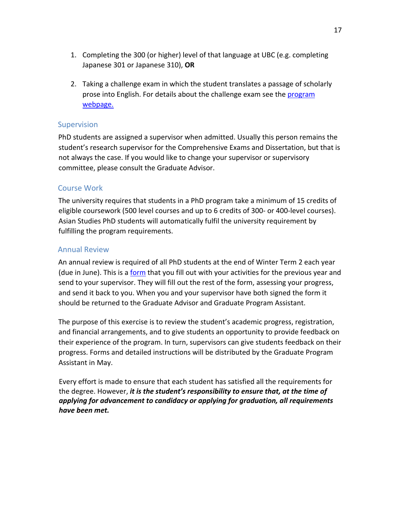- 1. Completing the 300 (or higher) level of that language at UBC (e.g. completing Japanese 301 or Japanese 310), **OR**
- 2. Taking a challenge exam in which the student translates a passage of scholarly prose into English. For details about the challenge exam see the [progra](https://asia.ubc.ca/graduate/phd-program/)[m](http://asia.ubc.ca/graduate/doctor-of-philosophy-in-asian-studies/program/) [webpage](https://asia.ubc.ca/graduate/phd-program/#challenge-exam-2)[.](http://asia.ubc.ca/graduate/doctor-of-philosophy-in-asian-studies/program/)

### Supervision

PhD students are assigned a supervisor when admitted. Usually this person remains the student's research supervisor for the Comprehensive Exams and Dissertation, but that is not always the case. If you would like to change your supervisor or supervisory committee, please consult the Graduate Advisor.

### Course Work

The university requires that students in a PhD program take a minimum of 15 credits of eligible coursework (500 level courses and up to 6 credits of 300- or 400-level courses). Asian Studies PhD students will automatically fulfil the university requirement by fulfilling the program requirements.

### Annual Review

An annual review is required of all PhD students at the end of Winter Term 2 each year (due in June). This is a [form](http://asia.ubc.ca/graduate/forms/) [th](http://asia.ubc.ca/graduate/forms/)at you fill out with your activities for the previous year and send to your supervisor. They will fill out the rest of the form, assessing your progress, and send it back to you. When you and your supervisor have both signed the form it should be returned to the Graduate Advisor and Graduate Program Assistant.

The purpose of this exercise is to review the student's academic progress, registration, and financial arrangements, and to give students an opportunity to provide feedback on their experience of the program. In turn, supervisors can give students feedback on their progress. Forms and detailed instructions will be distributed by the Graduate Program Assistant in May.

Every effort is made to ensure that each student has satisfied all the requirements for the degree. However, *it is the student's responsibility to ensure that, at the time of applying for advancement to candidacy or applying for graduation, all requirements have been met.*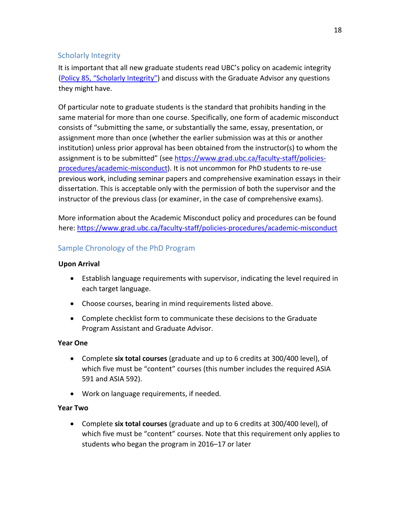## Scholarly Integrity

It is important that all new graduate students read UBC's policy on academic integrity [\(](http://universitycounsel.ubc.ca/files/2015/08/policy85.pdf)[Policy 85, "Scholarly Integrity](https://edst-educ.sites.olt.ubc.ca/files/2013/05/EDST-Policy-85-Info-and-Scholarly-Integrity.pdf)["\) a](http://universitycounsel.ubc.ca/files/2015/08/policy85.pdf)nd discuss with the Graduate Advisor any questions they might have.

Of particular note to graduate students is the standard that prohibits handing in the same material for more than one course. Specifically, one form of academic misconduct consists of "submitting the same, or substantially the same, essay, presentation, or assignment more than once (whether the earlier submission was at this or another institution) unless prior approval has been obtained from the instructor(s) to whom the assignment is to be submitted" (see [https://www.grad.ubc.ca/faculty-staff/policies](https://www.grad.ubc.ca/faculty-staff/policies-procedures/academic-misconduct)[procedures/academic-misconduct\).](https://www.grad.ubc.ca/faculty-staff/policies-procedures/academic-misconduct) It is not uncommon for PhD students to re-use previous work, including seminar papers and comprehensive examination essays in their dissertation. This is acceptable only with the permission of both the supervisor and the instructor of the previous class (or examiner, in the case of comprehensive exams).

More information about the Academic Misconduct policy and procedures can be found here:<https://www.grad.ubc.ca/faculty-staff/policies-procedures/academic-misconduct>

## Sample Chronology of the PhD Program

#### **Upon Arrival**

- Establish language requirements with supervisor, indicating the level required in each target language.
- Choose courses, bearing in mind requirements listed above.
- Complete checklist form to communicate these decisions to the Graduate Program Assistant and Graduate Advisor.

#### **Year One**

- Complete **six total courses** (graduate and up to 6 credits at 300/400 level), of which five must be "content" courses (this number includes the required ASIA 591 and ASIA 592).
- Work on language requirements, if needed.

#### **Year Two**

• Complete **six total courses** (graduate and up to 6 credits at 300/400 level), of which five must be "content" courses. Note that this requirement only applies to students who began the program in 2016–17 or later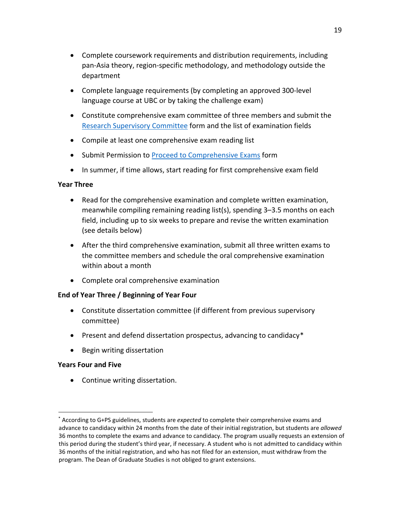- Complete coursework requirements and distribution requirements, including pan-Asia theory, region-specific methodology, and methodology outside the department
- Complete language requirements (by completing an approved 300-level language course at UBC or by taking the challenge exam)
- Constitute comprehensive exam committee of three members and submit the [Research Supervisory Committee](https://asia.ubc.ca/graduate/forms/) form and the list of examination fields
- Compile at least one comprehensive exam reading list
- Submit Permission to [Proceed to Comprehensive Exams](https://asia.ubc.ca/graduate/forms/) form
- In summer, if time allows, start reading for first comprehensive exam field

#### **Year Three**

- Read for the comprehensive examination and complete written examination, meanwhile compiling remaining reading list(s), spending 3–3.5 months on each field, including up to six weeks to prepare and revise the written examination (see details below)
- After the third comprehensive examination, submit all three written exams to the committee members and schedule the oral comprehensive examination within about a month
- Complete oral comprehensive examination

#### **End of Year Three / Beginning of Year Four**

- Constitute dissertation committee (if different from previous supervisory committee)
- Present and defend dissertation prospectus, advancing to candidacy[\\*](#page-18-0)
- Begin writing dissertation

#### **Years Four and Five**

l

• Continue writing dissertation.

<span id="page-18-0"></span><sup>\*</sup> According to G+PS guidelines, students are *expected* to complete their comprehensive exams and advance to candidacy within 24 months from the date of their initial registration, but students are *allowed* 36 months to complete the exams and advance to candidacy. The program usually requests an extension of this period during the student's third year, if necessary. A student who is not admitted to candidacy within 36 months of the initial registration, and who has not filed for an extension, must withdraw from the program. The Dean of Graduate Studies is not obliged to grant extensions.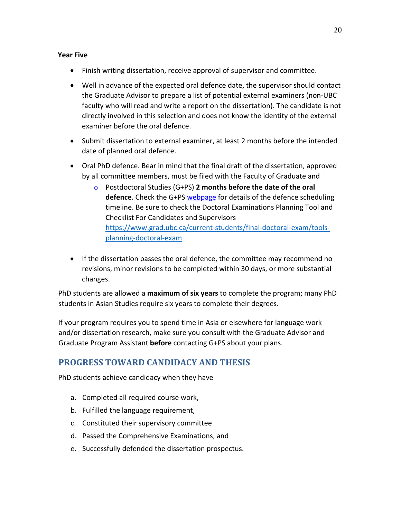#### **Year Five**

- Finish writing dissertation, receive approval of supervisor and committee.
- Well in advance of the expected oral defence date, the supervisor should contact the Graduate Advisor to prepare a list of potential external examiners (non-UBC faculty who will read and write a report on the dissertation). The candidate is not directly involved in this selection and does not know the identity of the external examiner before the oral defence.
- Submit dissertation to external examiner, at least 2 months before the intended date of planned oral defence.
- Oral PhD defence. Bear in mind that the final draft of the dissertation, approved by all committee members, must be filed with the Faculty of Graduate and
	- o Postdoctoral Studies (G+PS) **2 months before the date of the oral defence**. Check the G+PS [webpage](https://www.grad.ubc.ca/current-students/final-doctoral-exam/tools-planning-doctoral-exam) [fo](https://www.grad.ubc.ca/current-students/final-doctoral-exam/tools-planning-doctoral-exam)r details of the defence scheduling timeline. Be sure to check the Doctoral Examinations Planning Tool and Checklist For Candidates and Supervisors [https://www.grad.ubc.ca/current-students/final-doctoral-exam/tools](https://www.grad.ubc.ca/current-students/final-doctoral-exam/tools-planning-doctoral-exam)[planning-doctoral-exam](https://www.grad.ubc.ca/current-students/final-doctoral-exam/tools-planning-doctoral-exam)
- If the dissertation passes the oral defence, the committee may recommend no revisions, minor revisions to be completed within 30 days, or more substantial changes.

PhD students are allowed a **maximum of six years** to complete the program; many PhD students in Asian Studies require six years to complete their degrees.

If your program requires you to spend time in Asia or elsewhere for language work and/or dissertation research, make sure you consult with the Graduate Advisor and Graduate Program Assistant **before** contacting G+PS about your plans.

# **PROGRESS TOWARD CANDIDACY AND THESIS**

PhD students achieve candidacy when they have

- a. Completed all required course work,
- b. Fulfilled the language requirement,
- c. Constituted their supervisory committee
- d. Passed the Comprehensive Examinations, and
- e. Successfully defended the dissertation prospectus.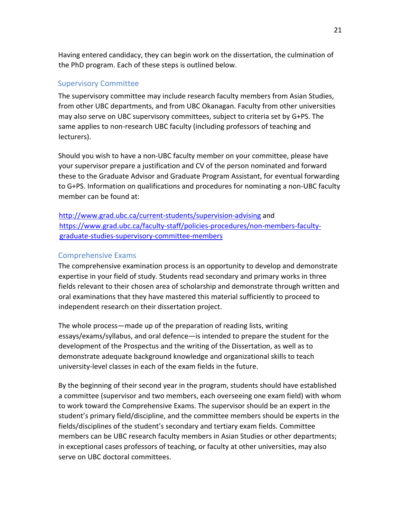Having entered candidacy, they can begin work on the dissertation, the culmination of the PhD program. Each of these steps is outlined below.

## Supervisory Committee

The supervisory committee may include research faculty members from Asian Studies, from other UBC departments, and from UBC Okanagan. Faculty from other universities may also serve on UBC supervisory committees, subject to criteria set by G+PS. The same applies to non-research UBC faculty (including professors of teaching and lecturers).

Should you wish to have a non-UBC faculty member on your committee, please have your supervisor prepare a justification and CV of the person nominated and forward these to the Graduate Advisor and Graduate Program Assistant, for eventual forwarding to G+PS. Information on qualifications and procedures for nominating a non-UBC faculty member can be found at:

<http://www.grad.ubc.ca/current-students/supervision-advising> [an](http://www.grad.ubc.ca/current-students/supervision-advising)d [https://www.grad.ubc.ca/faculty-staff/policies-procedures/non-members-faculty](https://www.grad.ubc.ca/faculty-staff/policies-procedures/non-members-faculty-graduate-studies-supervisory-committee-members)[graduate-studies-supervisory-committee-members](https://www.grad.ubc.ca/faculty-staff/policies-procedures/non-members-faculty-graduate-studies-supervisory-committee-members)

## Comprehensive Exams

The comprehensive examination process is an opportunity to develop and demonstrate expertise in your field of study. Students read secondary and primary works in three fields relevant to their chosen area of scholarship and demonstrate through written and oral examinations that they have mastered this material sufficiently to proceed to independent research on their dissertation project.

The whole process—made up of the preparation of reading lists, writing essays/exams/syllabus, and oral defence—is intended to prepare the student for the development of the Prospectus and the writing of the Dissertation, as well as to demonstrate adequate background knowledge and organizational skills to teach university-level classes in each of the exam fields in the future.

By the beginning of their second year in the program, students should have established a committee (supervisor and two members, each overseeing one exam field) with whom to work toward the Comprehensive Exams. The supervisor should be an expert in the student's primary field/discipline, and the committee members should be experts in the fields/disciplines of the student's secondary and tertiary exam fields. Committee members can be UBC research faculty members in Asian Studies or other departments; in exceptional cases professors of teaching, or faculty at other universities, may also serve on UBC doctoral committees.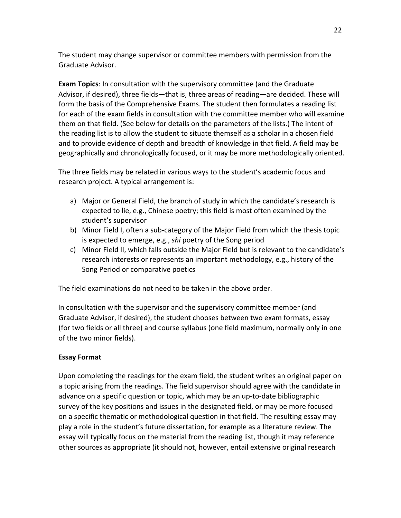The student may change supervisor or committee members with permission from the Graduate Advisor.

**Exam Topics**: In consultation with the supervisory committee (and the Graduate Advisor, if desired), three fields—that is, three areas of reading—are decided. These will form the basis of the Comprehensive Exams. The student then formulates a reading list for each of the exam fields in consultation with the committee member who will examine them on that field. (See below for details on the parameters of the lists.) The intent of the reading list is to allow the student to situate themself as a scholar in a chosen field and to provide evidence of depth and breadth of knowledge in that field. A field may be geographically and chronologically focused, or it may be more methodologically oriented.

The three fields may be related in various ways to the student's academic focus and research project. A typical arrangement is:

- a) Major or General Field, the branch of study in which the candidate's research is expected to lie, e.g., Chinese poetry; this field is most often examined by the student's supervisor
- b) Minor Field I, often a sub-category of the Major Field from which the thesis topic is expected to emerge, e.g., *shi* poetry of the Song period
- c) Minor Field II, which falls outside the Major Field but is relevant to the candidate's research interests or represents an important methodology, e.g., history of the Song Period or comparative poetics

The field examinations do not need to be taken in the above order.

In consultation with the supervisor and the supervisory committee member (and Graduate Advisor, if desired), the student chooses between two exam formats, essay (for two fields or all three) and course syllabus (one field maximum, normally only in one of the two minor fields).

## **Essay Format**

Upon completing the readings for the exam field, the student writes an original paper on a topic arising from the readings. The field supervisor should agree with the candidate in advance on a specific question or topic, which may be an up-to-date bibliographic survey of the key positions and issues in the designated field, or may be more focused on a specific thematic or methodological question in that field. The resulting essay may play a role in the student's future dissertation, for example as a literature review. The essay will typically focus on the material from the reading list, though it may reference other sources as appropriate (it should not, however, entail extensive original research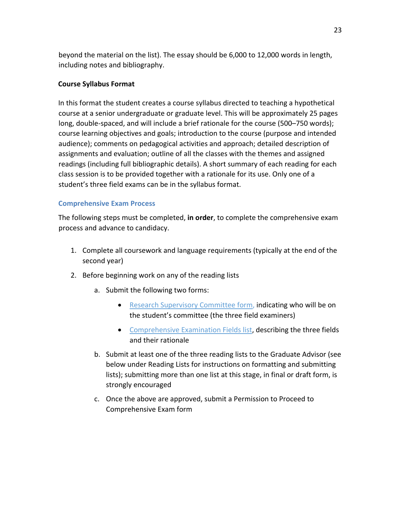beyond the material on the list). The essay should be 6,000 to 12,000 words in length, including notes and bibliography.

## **Course Syllabus Format**

In this format the student creates a course syllabus directed to teaching a hypothetical course at a senior undergraduate or graduate level. This will be approximately 25 pages long, double-spaced, and will include a brief rationale for the course (500–750 words); course learning objectives and goals; introduction to the course (purpose and intended audience); comments on pedagogical activities and approach; detailed description of assignments and evaluation; outline of all the classes with the themes and assigned readings (including full bibliographic details). A short summary of each reading for each class session is to be provided together with a rationale for its use. Only one of a student's three field exams can be in the syllabus format.

## **Comprehensive Exam Process**

The following steps must be completed, **in order**, to complete the comprehensive exam process and advance to candidacy.

- 1. Complete all coursework and language requirements (typically at the end of the second year)
- 2. Before beginning work on any of the reading lists
	- a. Submit the following two forms:
		- [Research Supervisory Committee form,](https://asia.ubc.ca/graduate/forms/) indicating who will be on the student's committee (the three field examiners)
		- [Comprehensive Examination Fields list,](https://asia.ubc.ca/graduate/forms/) describing the three fields and their rationale
	- b. Submit at least one of the three reading lists to the Graduate Advisor (see below under Reading Lists for instructions on formatting and submitting lists); submitting more than one list at this stage, in final or draft form, is strongly encouraged
	- c. Once the above are approved, submit a Permission to Proceed to Comprehensive Exam form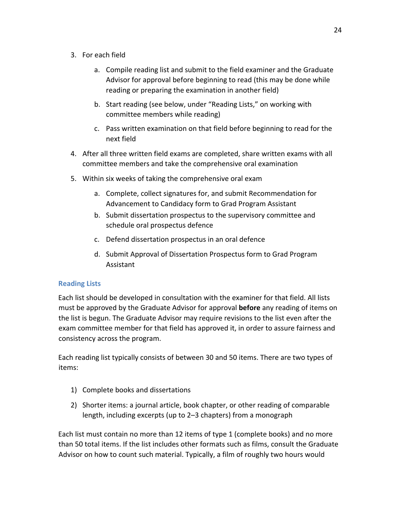- 3. For each field
	- a. Compile reading list and submit to the field examiner and the Graduate Advisor for approval before beginning to read (this may be done while reading or preparing the examination in another field)
	- b. Start reading (see below, under "Reading Lists," on working with committee members while reading)
	- c. Pass written examination on that field before beginning to read for the next field
- 4. After all three written field exams are completed, share written exams with all committee members and take the comprehensive oral examination
- 5. Within six weeks of taking the comprehensive oral exam
	- a. Complete, collect signatures for, and submit Recommendation for Advancement to Candidacy form to Grad Program Assistant
	- b. Submit dissertation prospectus to the supervisory committee and schedule oral prospectus defence
	- c. Defend dissertation prospectus in an oral defence
	- d. Submit Approval of Dissertation Prospectus form to Grad Program Assistant

## **Reading Lists**

Each list should be developed in consultation with the examiner for that field. All lists must be approved by the Graduate Advisor for approval **before** any reading of items on the list is begun. The Graduate Advisor may require revisions to the list even after the exam committee member for that field has approved it, in order to assure fairness and consistency across the program.

Each reading list typically consists of between 30 and 50 items. There are two types of items:

- 1) Complete books and dissertations
- 2) Shorter items: a journal article, book chapter, or other reading of comparable length, including excerpts (up to 2–3 chapters) from a monograph

Each list must contain no more than 12 items of type 1 (complete books) and no more than 50 total items. If the list includes other formats such as films, consult the Graduate Advisor on how to count such material. Typically, a film of roughly two hours would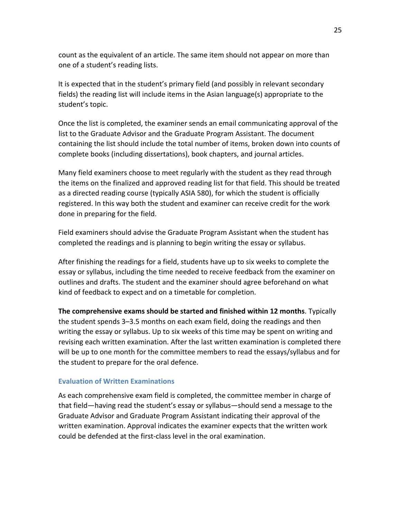count as the equivalent of an article. The same item should not appear on more than one of a student's reading lists.

It is expected that in the student's primary field (and possibly in relevant secondary fields) the reading list will include items in the Asian language(s) appropriate to the student's topic.

Once the list is completed, the examiner sends an email communicating approval of the list to the Graduate Advisor and the Graduate Program Assistant. The document containing the list should include the total number of items, broken down into counts of complete books (including dissertations), book chapters, and journal articles.

Many field examiners choose to meet regularly with the student as they read through the items on the finalized and approved reading list for that field. This should be treated as a directed reading course (typically ASIA 580), for which the student is officially registered. In this way both the student and examiner can receive credit for the work done in preparing for the field.

Field examiners should advise the Graduate Program Assistant when the student has completed the readings and is planning to begin writing the essay or syllabus.

After finishing the readings for a field, students have up to six weeks to complete the essay or syllabus, including the time needed to receive feedback from the examiner on outlines and drafts. The student and the examiner should agree beforehand on what kind of feedback to expect and on a timetable for completion.

**The comprehensive exams should be started and finished within 12 months**. Typically the student spends 3–3.5 months on each exam field, doing the readings and then writing the essay or syllabus. Up to six weeks of this time may be spent on writing and revising each written examination. After the last written examination is completed there will be up to one month for the committee members to read the essays/syllabus and for the student to prepare for the oral defence.

#### **Evaluation of Written Examinations**

As each comprehensive exam field is completed, the committee member in charge of that field—having read the student's essay or syllabus—should send a message to the Graduate Advisor and Graduate Program Assistant indicating their approval of the written examination. Approval indicates the examiner expects that the written work could be defended at the first-class level in the oral examination.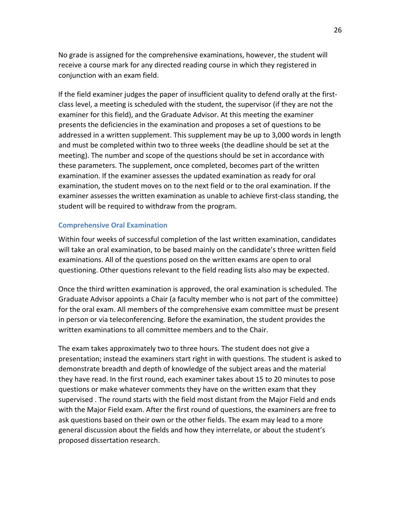No grade is assigned for the comprehensive examinations, however, the student will receive a course mark for any directed reading course in which they registered in conjunction with an exam field.

If the field examiner judges the paper of insufficient quality to defend orally at the firstclass level, a meeting is scheduled with the student, the supervisor (if they are not the examiner for this field), and the Graduate Advisor. At this meeting the examiner presents the deficiencies in the examination and proposes a set of questions to be addressed in a written supplement. This supplement may be up to 3,000 words in length and must be completed within two to three weeks (the deadline should be set at the meeting). The number and scope of the questions should be set in accordance with these parameters. The supplement, once completed, becomes part of the written examination. If the examiner assesses the updated examination as ready for oral examination, the student moves on to the next field or to the oral examination. If the examiner assesses the written examination as unable to achieve first-class standing, the student will be required to withdraw from the program.

#### **Comprehensive Oral Examination**

Within four weeks of successful completion of the last written examination, candidates will take an oral examination, to be based mainly on the candidate's three written field examinations. All of the questions posed on the written exams are open to oral questioning. Other questions relevant to the field reading lists also may be expected.

Once the third written examination is approved, the oral examination is scheduled. The Graduate Advisor appoints a Chair (a faculty member who is not part of the committee) for the oral exam. All members of the comprehensive exam committee must be present in person or via teleconferencing. Before the examination, the student provides the written examinations to all committee members and to the Chair.

The exam takes approximately two to three hours. The student does not give a presentation; instead the examiners start right in with questions. The student is asked to demonstrate breadth and depth of knowledge of the subject areas and the material they have read. In the first round, each examiner takes about 15 to 20 minutes to pose questions or make whatever comments they have on the written exam that they supervised . The round starts with the field most distant from the Major Field and ends with the Major Field exam. After the first round of questions, the examiners are free to ask questions based on their own or the other fields. The exam may lead to a more general discussion about the fields and how they interrelate, or about the student's proposed dissertation research.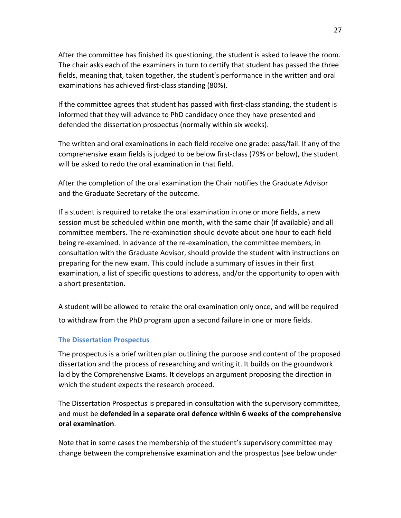After the committee has finished its questioning, the student is asked to leave the room. The chair asks each of the examiners in turn to certify that student has passed the three fields, meaning that, taken together, the student's performance in the written and oral examinations has achieved first-class standing (80%).

If the committee agrees that student has passed with first-class standing, the student is informed that they will advance to PhD candidacy once they have presented and defended the dissertation prospectus (normally within six weeks).

The written and oral examinations in each field receive one grade: pass/fail. If any of the comprehensive exam fields is judged to be below first-class (79% or below), the student will be asked to redo the oral examination in that field.

After the completion of the oral examination the Chair notifies the Graduate Advisor and the Graduate Secretary of the outcome.

If a student is required to retake the oral examination in one or more fields, a new session must be scheduled within one month, with the same chair (if available) and all committee members. The re-examination should devote about one hour to each field being re-examined. In advance of the re-examination, the committee members, in consultation with the Graduate Advisor, should provide the student with instructions on preparing for the new exam. This could include a summary of issues in their first examination, a list of specific questions to address, and/or the opportunity to open with a short presentation.

A student will be allowed to retake the oral examination only once, and will be required to withdraw from the PhD program upon a second failure in one or more fields.

#### **The Dissertation Prospectus**

The prospectus is a brief written plan outlining the purpose and content of the proposed dissertation and the process of researching and writing it. It builds on the groundwork laid by the Comprehensive Exams. It develops an argument proposing the direction in which the student expects the research proceed.

The Dissertation Prospectus is prepared in consultation with the supervisory committee, and must be **defended in a separate oral defence within 6 weeks of the comprehensive oral examination**.

Note that in some cases the membership of the student's supervisory committee may change between the comprehensive examination and the prospectus (see below under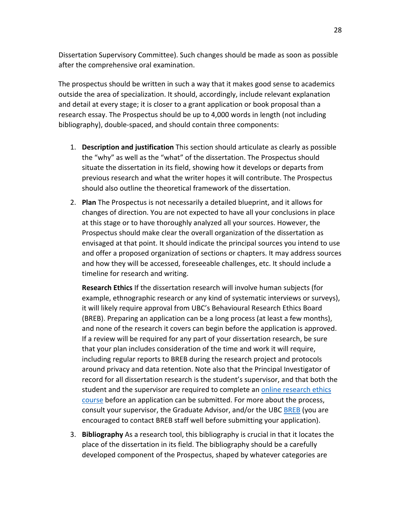Dissertation Supervisory Committee). Such changes should be made as soon as possible after the comprehensive oral examination.

The prospectus should be written in such a way that it makes good sense to academics outside the area of specialization. It should, accordingly, include relevant explanation and detail at every stage; it is closer to a grant application or book proposal than a research essay. The Prospectus should be up to 4,000 words in length (not including bibliography), double-spaced, and should contain three components:

- 1. **Description and justification** This section should articulate as clearly as possible the "why" as well as the "what" of the dissertation. The Prospectus should situate the dissertation in its field, showing how it develops or departs from previous research and what the writer hopes it will contribute. The Prospectus should also outline the theoretical framework of the dissertation.
- 2. **Plan** The Prospectus is not necessarily a detailed blueprint, and it allows for changes of direction. You are not expected to have all your conclusions in place at this stage or to have thoroughly analyzed all your sources. However, the Prospectus should make clear the overall organization of the dissertation as envisaged at that point. It should indicate the principal sources you intend to use and offer a proposed organization of sections or chapters. It may address sources and how they will be accessed, foreseeable challenges, etc. It should include a timeline for research and writing.

**Research Ethics** If the dissertation research will involve human subjects (for example, ethnographic research or any kind of systematic interviews or surveys), it will likely require approval from UBC's Behavioural Research Ethics Board (BREB). Preparing an application can be a long process (at least a few months), and none of the research it covers can begin before the application is approved. If a review will be required for any part of your dissertation research, be sure that your plan includes consideration of the time and work it will require, including regular reports to BREB during the research project and protocols around privacy and data retention. Note also that the Principal Investigator of record for all dissertation research is the student's supervisor, and that both the student and the supervisor are required to complete an [online research ethics](https://ethics.research.ubc.ca/education-training/online-tutorials-training)  [course](https://ethics.research.ubc.ca/education-training/online-tutorials-training) before an application can be submitted. For more about the process, consult your supervisor, the Graduate Advisor, and/or the UBC [BREB](https://ethics.research.ubc.ca/behavioural-research-ethics) (you are encouraged to contact BREB staff well before submitting your application).

3. **Bibliography** As a research tool, this bibliography is crucial in that it locates the place of the dissertation in its field. The bibliography should be a carefully developed component of the Prospectus, shaped by whatever categories are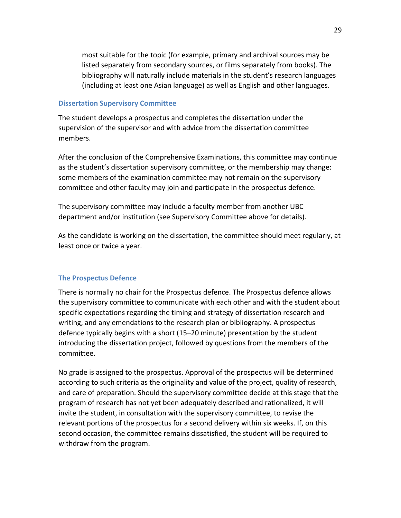most suitable for the topic (for example, primary and archival sources may be listed separately from secondary sources, or films separately from books). The bibliography will naturally include materials in the student's research languages (including at least one Asian language) as well as English and other languages.

#### **Dissertation Supervisory Committee**

The student develops a prospectus and completes the dissertation under the supervision of the supervisor and with advice from the dissertation committee members.

After the conclusion of the Comprehensive Examinations, this committee may continue as the student's dissertation supervisory committee, or the membership may change: some members of the examination committee may not remain on the supervisory committee and other faculty may join and participate in the prospectus defence.

The supervisory committee may include a faculty member from another UBC department and/or institution (see Supervisory Committee above for details).

As the candidate is working on the dissertation, the committee should meet regularly, at least once or twice a year.

## **The Prospectus Defence**

There is normally no chair for the Prospectus defence. The Prospectus defence allows the supervisory committee to communicate with each other and with the student about specific expectations regarding the timing and strategy of dissertation research and writing, and any emendations to the research plan or bibliography. A prospectus defence typically begins with a short (15–20 minute) presentation by the student introducing the dissertation project, followed by questions from the members of the committee.

No grade is assigned to the prospectus. Approval of the prospectus will be determined according to such criteria as the originality and value of the project, quality of research, and care of preparation. Should the supervisory committee decide at this stage that the program of research has not yet been adequately described and rationalized, it will invite the student, in consultation with the supervisory committee, to revise the relevant portions of the prospectus for a second delivery within six weeks. If, on this second occasion, the committee remains dissatisfied, the student will be required to withdraw from the program.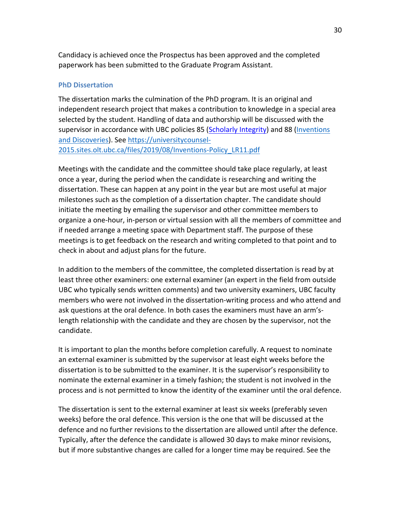Candidacy is achieved once the Prospectus has been approved and the completed paperwork has been submitted to the Graduate Program Assistant.

#### **PhD Dissertation**

The dissertation marks the culmination of the PhD program. It is an original and independent research project that makes a contribution to knowledge in a special area selected by the student. Handling of data and authorship will be discussed with the supervisor in accordance with UBC policies 85 [\(Scholarly Integrit](https://edst-educ.sites.olt.ubc.ca/files/2013/05/EDST-Policy-85-Info-and-Scholarly-Integrity.pdf)[y\) a](http://universitycounsel.ubc.ca/policies/policy85.pdf)nd 88 (Inventions [and Discoveries](https://universitycounsel-2015.sites.olt.ubc.ca/files/2019/08/Inventions-Policy_LR11.pdf)[\).](http://universitycounsel.ubc.ca/files/2015/03/policy88.pdf) See [https://universitycounsel-](https://universitycounsel-2015.sites.olt.ubc.ca/files/2019/08/Inventions-Policy_LR11.pdf)[2015.sites.olt.ubc.ca/files/2019/08/Inventions-Policy\\_LR11.pdf](https://universitycounsel-2015.sites.olt.ubc.ca/files/2019/08/Inventions-Policy_LR11.pdf)

Meetings with the candidate and the committee should take place regularly, at least once a year, during the period when the candidate is researching and writing the dissertation. These can happen at any point in the year but are most useful at major milestones such as the completion of a dissertation chapter. The candidate should initiate the meeting by emailing the supervisor and other committee members to organize a one-hour, in-person or virtual session with all the members of committee and if needed arrange a meeting space with Department staff. The purpose of these meetings is to get feedback on the research and writing completed to that point and to check in about and adjust plans for the future.

In addition to the members of the committee, the completed dissertation is read by at least three other examiners: one external examiner (an expert in the field from outside UBC who typically sends written comments) and two university examiners, UBC faculty members who were not involved in the dissertation-writing process and who attend and ask questions at the oral defence. In both cases the examiners must have an arm'slength relationship with the candidate and they are chosen by the supervisor, not the candidate.

It is important to plan the months before completion carefully. A request to nominate an external examiner is submitted by the supervisor at least eight weeks before the dissertation is to be submitted to the examiner. It is the supervisor's responsibility to nominate the external examiner in a timely fashion; the student is not involved in the process and is not permitted to know the identity of the examiner until the oral defence.

The dissertation is sent to the external examiner at least six weeks (preferably seven weeks) before the oral defence. This version is the one that will be discussed at the defence and no further revisions to the dissertation are allowed until after the defence. Typically, after the defence the candidate is allowed 30 days to make minor revisions, but if more substantive changes are called for a longer time may be required. See the